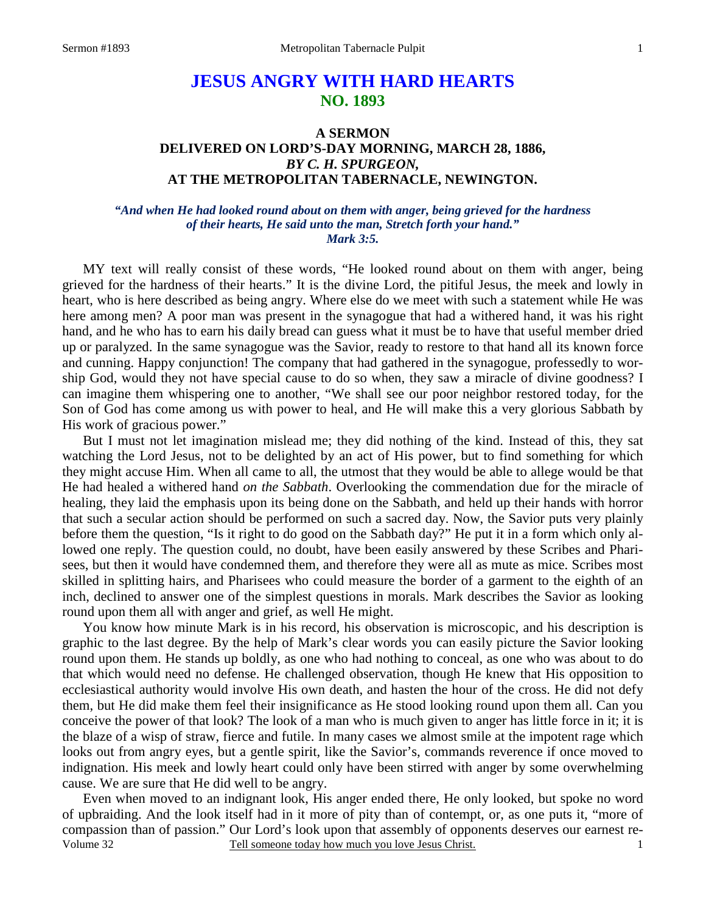# **JESUS ANGRY WITH HARD HEARTS NO. 1893**

## **A SERMON DELIVERED ON LORD'S-DAY MORNING, MARCH 28, 1886,**  *BY C. H. SPURGEON,*  **AT THE METROPOLITAN TABERNACLE, NEWINGTON.**

### *"And when He had looked round about on them with anger, being grieved for the hardness of their hearts, He said unto the man, Stretch forth your hand." Mark 3:5.*

MY text will really consist of these words, "He looked round about on them with anger, being grieved for the hardness of their hearts." It is the divine Lord, the pitiful Jesus, the meek and lowly in heart, who is here described as being angry. Where else do we meet with such a statement while He was here among men? A poor man was present in the synagogue that had a withered hand, it was his right hand, and he who has to earn his daily bread can guess what it must be to have that useful member dried up or paralyzed. In the same synagogue was the Savior, ready to restore to that hand all its known force and cunning. Happy conjunction! The company that had gathered in the synagogue, professedly to worship God, would they not have special cause to do so when, they saw a miracle of divine goodness? I can imagine them whispering one to another, "We shall see our poor neighbor restored today, for the Son of God has come among us with power to heal, and He will make this a very glorious Sabbath by His work of gracious power."

 But I must not let imagination mislead me; they did nothing of the kind. Instead of this, they sat watching the Lord Jesus, not to be delighted by an act of His power, but to find something for which they might accuse Him. When all came to all, the utmost that they would be able to allege would be that He had healed a withered hand *on the Sabbath*. Overlooking the commendation due for the miracle of healing, they laid the emphasis upon its being done on the Sabbath, and held up their hands with horror that such a secular action should be performed on such a sacred day. Now, the Savior puts very plainly before them the question, "Is it right to do good on the Sabbath day?" He put it in a form which only allowed one reply. The question could, no doubt, have been easily answered by these Scribes and Pharisees, but then it would have condemned them, and therefore they were all as mute as mice. Scribes most skilled in splitting hairs, and Pharisees who could measure the border of a garment to the eighth of an inch, declined to answer one of the simplest questions in morals. Mark describes the Savior as looking round upon them all with anger and grief, as well He might.

 You know how minute Mark is in his record, his observation is microscopic, and his description is graphic to the last degree. By the help of Mark's clear words you can easily picture the Savior looking round upon them. He stands up boldly, as one who had nothing to conceal, as one who was about to do that which would need no defense. He challenged observation, though He knew that His opposition to ecclesiastical authority would involve His own death, and hasten the hour of the cross. He did not defy them, but He did make them feel their insignificance as He stood looking round upon them all. Can you conceive the power of that look? The look of a man who is much given to anger has little force in it; it is the blaze of a wisp of straw, fierce and futile. In many cases we almost smile at the impotent rage which looks out from angry eyes, but a gentle spirit, like the Savior's, commands reverence if once moved to indignation. His meek and lowly heart could only have been stirred with anger by some overwhelming cause. We are sure that He did well to be angry.

Volume 32 Tell someone today how much you love Jesus Christ. Even when moved to an indignant look, His anger ended there, He only looked, but spoke no word of upbraiding. And the look itself had in it more of pity than of contempt, or, as one puts it, "more of compassion than of passion." Our Lord's look upon that assembly of opponents deserves our earnest re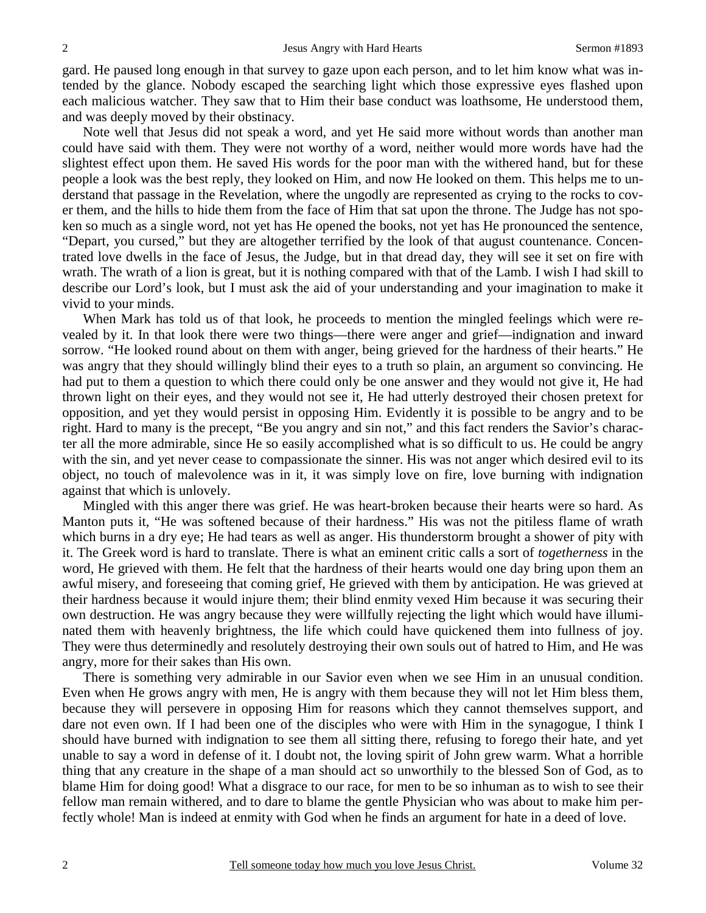gard. He paused long enough in that survey to gaze upon each person, and to let him know what was intended by the glance. Nobody escaped the searching light which those expressive eyes flashed upon each malicious watcher. They saw that to Him their base conduct was loathsome, He understood them, and was deeply moved by their obstinacy.

 Note well that Jesus did not speak a word, and yet He said more without words than another man could have said with them. They were not worthy of a word, neither would more words have had the slightest effect upon them. He saved His words for the poor man with the withered hand, but for these people a look was the best reply, they looked on Him, and now He looked on them. This helps me to understand that passage in the Revelation, where the ungodly are represented as crying to the rocks to cover them, and the hills to hide them from the face of Him that sat upon the throne. The Judge has not spoken so much as a single word, not yet has He opened the books, not yet has He pronounced the sentence, "Depart, you cursed," but they are altogether terrified by the look of that august countenance. Concentrated love dwells in the face of Jesus, the Judge, but in that dread day, they will see it set on fire with wrath. The wrath of a lion is great, but it is nothing compared with that of the Lamb. I wish I had skill to describe our Lord's look, but I must ask the aid of your understanding and your imagination to make it vivid to your minds.

When Mark has told us of that look, he proceeds to mention the mingled feelings which were revealed by it. In that look there were two things—there were anger and grief—indignation and inward sorrow. "He looked round about on them with anger, being grieved for the hardness of their hearts." He was angry that they should willingly blind their eyes to a truth so plain, an argument so convincing. He had put to them a question to which there could only be one answer and they would not give it, He had thrown light on their eyes, and they would not see it, He had utterly destroyed their chosen pretext for opposition, and yet they would persist in opposing Him. Evidently it is possible to be angry and to be right. Hard to many is the precept, "Be you angry and sin not," and this fact renders the Savior's character all the more admirable, since He so easily accomplished what is so difficult to us. He could be angry with the sin, and yet never cease to compassionate the sinner. His was not anger which desired evil to its object, no touch of malevolence was in it, it was simply love on fire, love burning with indignation against that which is unlovely.

 Mingled with this anger there was grief. He was heart-broken because their hearts were so hard. As Manton puts it, "He was softened because of their hardness." His was not the pitiless flame of wrath which burns in a dry eye; He had tears as well as anger. His thunderstorm brought a shower of pity with it. The Greek word is hard to translate. There is what an eminent critic calls a sort of *togetherness* in the word, He grieved with them. He felt that the hardness of their hearts would one day bring upon them an awful misery, and foreseeing that coming grief, He grieved with them by anticipation. He was grieved at their hardness because it would injure them; their blind enmity vexed Him because it was securing their own destruction. He was angry because they were willfully rejecting the light which would have illuminated them with heavenly brightness, the life which could have quickened them into fullness of joy. They were thus determinedly and resolutely destroying their own souls out of hatred to Him, and He was angry, more for their sakes than His own.

 There is something very admirable in our Savior even when we see Him in an unusual condition. Even when He grows angry with men, He is angry with them because they will not let Him bless them, because they will persevere in opposing Him for reasons which they cannot themselves support, and dare not even own. If I had been one of the disciples who were with Him in the synagogue, I think I should have burned with indignation to see them all sitting there, refusing to forego their hate, and yet unable to say a word in defense of it. I doubt not, the loving spirit of John grew warm. What a horrible thing that any creature in the shape of a man should act so unworthily to the blessed Son of God, as to blame Him for doing good! What a disgrace to our race, for men to be so inhuman as to wish to see their fellow man remain withered, and to dare to blame the gentle Physician who was about to make him perfectly whole! Man is indeed at enmity with God when he finds an argument for hate in a deed of love.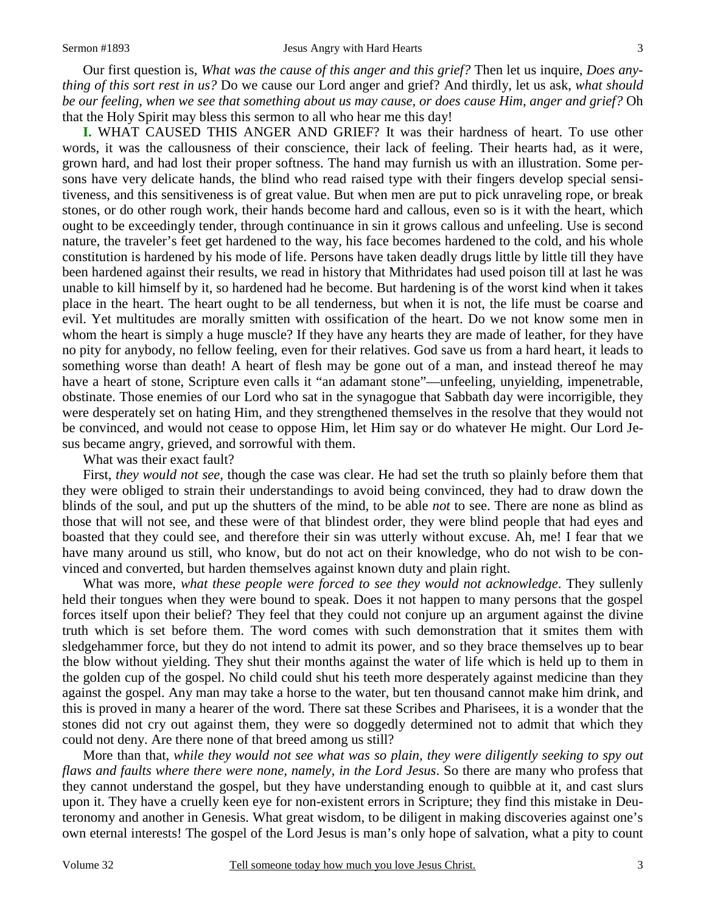Our first question is, *What was the cause of this anger and this grief?* Then let us inquire, *Does anything of this sort rest in us?* Do we cause our Lord anger and grief? And thirdly, let us ask, *what should be our feeling, when we see that something about us may cause, or does cause Him, anger and grief?* Oh that the Holy Spirit may bless this sermon to all who hear me this day!

**I.** WHAT CAUSED THIS ANGER AND GRIEF? It was their hardness of heart. To use other words, it was the callousness of their conscience, their lack of feeling. Their hearts had, as it were, grown hard, and had lost their proper softness. The hand may furnish us with an illustration. Some persons have very delicate hands, the blind who read raised type with their fingers develop special sensitiveness, and this sensitiveness is of great value. But when men are put to pick unraveling rope, or break stones, or do other rough work, their hands become hard and callous, even so is it with the heart, which ought to be exceedingly tender, through continuance in sin it grows callous and unfeeling. Use is second nature, the traveler's feet get hardened to the way, his face becomes hardened to the cold, and his whole constitution is hardened by his mode of life. Persons have taken deadly drugs little by little till they have been hardened against their results, we read in history that Mithridates had used poison till at last he was unable to kill himself by it, so hardened had he become. But hardening is of the worst kind when it takes place in the heart. The heart ought to be all tenderness, but when it is not, the life must be coarse and evil. Yet multitudes are morally smitten with ossification of the heart. Do we not know some men in whom the heart is simply a huge muscle? If they have any hearts they are made of leather, for they have no pity for anybody, no fellow feeling, even for their relatives. God save us from a hard heart, it leads to something worse than death! A heart of flesh may be gone out of a man, and instead thereof he may have a heart of stone, Scripture even calls it "an adamant stone"—unfeeling, unyielding, impenetrable, obstinate. Those enemies of our Lord who sat in the synagogue that Sabbath day were incorrigible, they were desperately set on hating Him, and they strengthened themselves in the resolve that they would not be convinced, and would not cease to oppose Him, let Him say or do whatever He might. Our Lord Jesus became angry, grieved, and sorrowful with them.

What was their exact fault?

 First, *they would not see,* though the case was clear. He had set the truth so plainly before them that they were obliged to strain their understandings to avoid being convinced, they had to draw down the blinds of the soul, and put up the shutters of the mind, to be able *not* to see. There are none as blind as those that will not see, and these were of that blindest order, they were blind people that had eyes and boasted that they could see, and therefore their sin was utterly without excuse. Ah, me! I fear that we have many around us still, who know, but do not act on their knowledge, who do not wish to be convinced and converted, but harden themselves against known duty and plain right.

 What was more, *what these people were forced to see they would not acknowledge*. They sullenly held their tongues when they were bound to speak. Does it not happen to many persons that the gospel forces itself upon their belief? They feel that they could not conjure up an argument against the divine truth which is set before them. The word comes with such demonstration that it smites them with sledgehammer force, but they do not intend to admit its power, and so they brace themselves up to bear the blow without yielding. They shut their months against the water of life which is held up to them in the golden cup of the gospel. No child could shut his teeth more desperately against medicine than they against the gospel. Any man may take a horse to the water, but ten thousand cannot make him drink, and this is proved in many a hearer of the word. There sat these Scribes and Pharisees, it is a wonder that the stones did not cry out against them, they were so doggedly determined not to admit that which they could not deny. Are there none of that breed among us still?

 More than that, *while they would not see what was so plain, they were diligently seeking to spy out flaws and faults where there were none, namely, in the Lord Jesus*. So there are many who profess that they cannot understand the gospel, but they have understanding enough to quibble at it, and cast slurs upon it. They have a cruelly keen eye for non-existent errors in Scripture; they find this mistake in Deuteronomy and another in Genesis. What great wisdom, to be diligent in making discoveries against one's own eternal interests! The gospel of the Lord Jesus is man's only hope of salvation, what a pity to count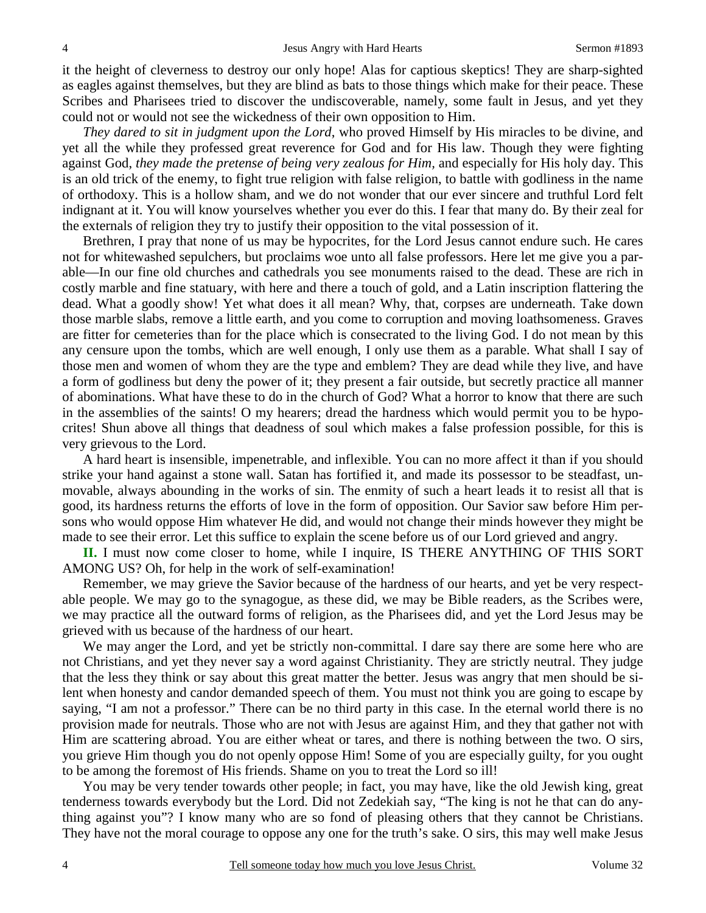it the height of cleverness to destroy our only hope! Alas for captious skeptics! They are sharp-sighted as eagles against themselves, but they are blind as bats to those things which make for their peace. These Scribes and Pharisees tried to discover the undiscoverable, namely, some fault in Jesus, and yet they could not or would not see the wickedness of their own opposition to Him.

*They dared to sit in judgment upon the Lord*, who proved Himself by His miracles to be divine, and yet all the while they professed great reverence for God and for His law. Though they were fighting against God, *they made the pretense of being very zealous for Him,* and especially for His holy day. This is an old trick of the enemy, to fight true religion with false religion, to battle with godliness in the name of orthodoxy. This is a hollow sham, and we do not wonder that our ever sincere and truthful Lord felt indignant at it. You will know yourselves whether you ever do this. I fear that many do. By their zeal for the externals of religion they try to justify their opposition to the vital possession of it.

 Brethren, I pray that none of us may be hypocrites, for the Lord Jesus cannot endure such. He cares not for whitewashed sepulchers, but proclaims woe unto all false professors. Here let me give you a parable—In our fine old churches and cathedrals you see monuments raised to the dead. These are rich in costly marble and fine statuary, with here and there a touch of gold, and a Latin inscription flattering the dead. What a goodly show! Yet what does it all mean? Why, that, corpses are underneath. Take down those marble slabs, remove a little earth, and you come to corruption and moving loathsomeness. Graves are fitter for cemeteries than for the place which is consecrated to the living God. I do not mean by this any censure upon the tombs, which are well enough, I only use them as a parable. What shall I say of those men and women of whom they are the type and emblem? They are dead while they live, and have a form of godliness but deny the power of it; they present a fair outside, but secretly practice all manner of abominations. What have these to do in the church of God? What a horror to know that there are such in the assemblies of the saints! O my hearers; dread the hardness which would permit you to be hypocrites! Shun above all things that deadness of soul which makes a false profession possible, for this is very grievous to the Lord.

 A hard heart is insensible, impenetrable, and inflexible. You can no more affect it than if you should strike your hand against a stone wall. Satan has fortified it, and made its possessor to be steadfast, unmovable, always abounding in the works of sin. The enmity of such a heart leads it to resist all that is good, its hardness returns the efforts of love in the form of opposition. Our Savior saw before Him persons who would oppose Him whatever He did, and would not change their minds however they might be made to see their error. Let this suffice to explain the scene before us of our Lord grieved and angry.

**II.** I must now come closer to home, while I inquire, IS THERE ANYTHING OF THIS SORT AMONG US? Oh, for help in the work of self-examination!

 Remember, we may grieve the Savior because of the hardness of our hearts, and yet be very respectable people. We may go to the synagogue, as these did, we may be Bible readers, as the Scribes were, we may practice all the outward forms of religion, as the Pharisees did, and yet the Lord Jesus may be grieved with us because of the hardness of our heart.

 We may anger the Lord, and yet be strictly non-committal. I dare say there are some here who are not Christians, and yet they never say a word against Christianity. They are strictly neutral. They judge that the less they think or say about this great matter the better. Jesus was angry that men should be silent when honesty and candor demanded speech of them. You must not think you are going to escape by saying, "I am not a professor." There can be no third party in this case. In the eternal world there is no provision made for neutrals. Those who are not with Jesus are against Him, and they that gather not with Him are scattering abroad. You are either wheat or tares, and there is nothing between the two. O sirs, you grieve Him though you do not openly oppose Him! Some of you are especially guilty, for you ought to be among the foremost of His friends. Shame on you to treat the Lord so ill!

 You may be very tender towards other people; in fact, you may have, like the old Jewish king, great tenderness towards everybody but the Lord. Did not Zedekiah say, "The king is not he that can do anything against you"? I know many who are so fond of pleasing others that they cannot be Christians. They have not the moral courage to oppose any one for the truth's sake. O sirs, this may well make Jesus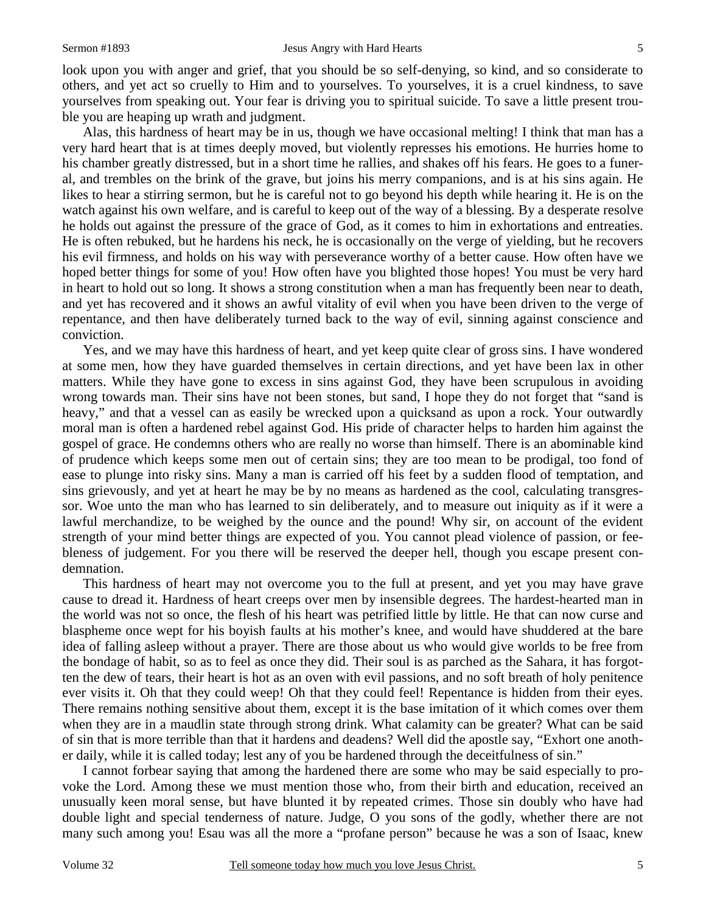look upon you with anger and grief, that you should be so self-denying, so kind, and so considerate to others, and yet act so cruelly to Him and to yourselves. To yourselves, it is a cruel kindness, to save yourselves from speaking out. Your fear is driving you to spiritual suicide. To save a little present trouble you are heaping up wrath and judgment.

 Alas, this hardness of heart may be in us, though we have occasional melting! I think that man has a very hard heart that is at times deeply moved, but violently represses his emotions. He hurries home to his chamber greatly distressed, but in a short time he rallies, and shakes off his fears. He goes to a funeral, and trembles on the brink of the grave, but joins his merry companions, and is at his sins again. He likes to hear a stirring sermon, but he is careful not to go beyond his depth while hearing it. He is on the watch against his own welfare, and is careful to keep out of the way of a blessing. By a desperate resolve he holds out against the pressure of the grace of God, as it comes to him in exhortations and entreaties. He is often rebuked, but he hardens his neck, he is occasionally on the verge of yielding, but he recovers his evil firmness, and holds on his way with perseverance worthy of a better cause. How often have we hoped better things for some of you! How often have you blighted those hopes! You must be very hard in heart to hold out so long. It shows a strong constitution when a man has frequently been near to death, and yet has recovered and it shows an awful vitality of evil when you have been driven to the verge of repentance, and then have deliberately turned back to the way of evil, sinning against conscience and conviction.

 Yes, and we may have this hardness of heart, and yet keep quite clear of gross sins. I have wondered at some men, how they have guarded themselves in certain directions, and yet have been lax in other matters. While they have gone to excess in sins against God, they have been scrupulous in avoiding wrong towards man. Their sins have not been stones, but sand, I hope they do not forget that "sand is heavy," and that a vessel can as easily be wrecked upon a quicksand as upon a rock. Your outwardly moral man is often a hardened rebel against God. His pride of character helps to harden him against the gospel of grace. He condemns others who are really no worse than himself. There is an abominable kind of prudence which keeps some men out of certain sins; they are too mean to be prodigal, too fond of ease to plunge into risky sins. Many a man is carried off his feet by a sudden flood of temptation, and sins grievously, and yet at heart he may be by no means as hardened as the cool, calculating transgressor. Woe unto the man who has learned to sin deliberately, and to measure out iniquity as if it were a lawful merchandize, to be weighed by the ounce and the pound! Why sir, on account of the evident strength of your mind better things are expected of you. You cannot plead violence of passion, or feebleness of judgement. For you there will be reserved the deeper hell, though you escape present condemnation.

 This hardness of heart may not overcome you to the full at present, and yet you may have grave cause to dread it. Hardness of heart creeps over men by insensible degrees. The hardest-hearted man in the world was not so once, the flesh of his heart was petrified little by little. He that can now curse and blaspheme once wept for his boyish faults at his mother's knee, and would have shuddered at the bare idea of falling asleep without a prayer. There are those about us who would give worlds to be free from the bondage of habit, so as to feel as once they did. Their soul is as parched as the Sahara, it has forgotten the dew of tears, their heart is hot as an oven with evil passions, and no soft breath of holy penitence ever visits it. Oh that they could weep! Oh that they could feel! Repentance is hidden from their eyes. There remains nothing sensitive about them, except it is the base imitation of it which comes over them when they are in a maudlin state through strong drink. What calamity can be greater? What can be said of sin that is more terrible than that it hardens and deadens? Well did the apostle say, "Exhort one another daily, while it is called today; lest any of you be hardened through the deceitfulness of sin."

 I cannot forbear saying that among the hardened there are some who may be said especially to provoke the Lord. Among these we must mention those who, from their birth and education, received an unusually keen moral sense, but have blunted it by repeated crimes. Those sin doubly who have had double light and special tenderness of nature. Judge, O you sons of the godly, whether there are not many such among you! Esau was all the more a "profane person" because he was a son of Isaac, knew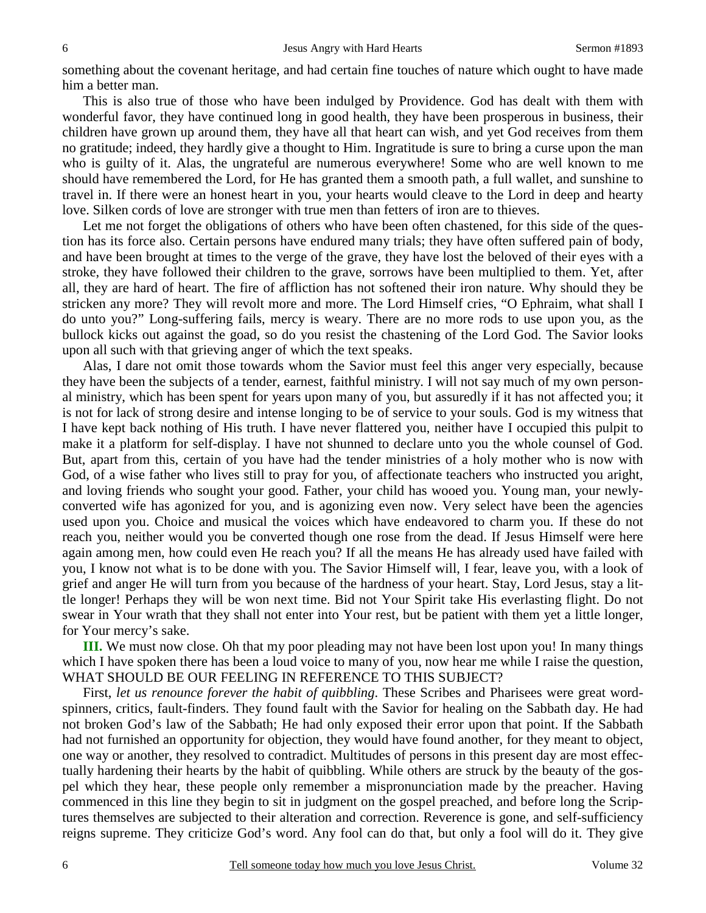something about the covenant heritage, and had certain fine touches of nature which ought to have made him a better man.

 This is also true of those who have been indulged by Providence. God has dealt with them with wonderful favor, they have continued long in good health, they have been prosperous in business, their children have grown up around them, they have all that heart can wish, and yet God receives from them no gratitude; indeed, they hardly give a thought to Him. Ingratitude is sure to bring a curse upon the man who is guilty of it. Alas, the ungrateful are numerous everywhere! Some who are well known to me should have remembered the Lord, for He has granted them a smooth path, a full wallet, and sunshine to travel in. If there were an honest heart in you, your hearts would cleave to the Lord in deep and hearty love. Silken cords of love are stronger with true men than fetters of iron are to thieves.

Let me not forget the obligations of others who have been often chastened, for this side of the question has its force also. Certain persons have endured many trials; they have often suffered pain of body, and have been brought at times to the verge of the grave, they have lost the beloved of their eyes with a stroke, they have followed their children to the grave, sorrows have been multiplied to them. Yet, after all, they are hard of heart. The fire of affliction has not softened their iron nature. Why should they be stricken any more? They will revolt more and more. The Lord Himself cries, "O Ephraim, what shall I do unto you?" Long-suffering fails, mercy is weary. There are no more rods to use upon you, as the bullock kicks out against the goad, so do you resist the chastening of the Lord God. The Savior looks upon all such with that grieving anger of which the text speaks.

 Alas, I dare not omit those towards whom the Savior must feel this anger very especially, because they have been the subjects of a tender, earnest, faithful ministry. I will not say much of my own personal ministry, which has been spent for years upon many of you, but assuredly if it has not affected you; it is not for lack of strong desire and intense longing to be of service to your souls. God is my witness that I have kept back nothing of His truth. I have never flattered you, neither have I occupied this pulpit to make it a platform for self-display. I have not shunned to declare unto you the whole counsel of God. But, apart from this, certain of you have had the tender ministries of a holy mother who is now with God, of a wise father who lives still to pray for you, of affectionate teachers who instructed you aright, and loving friends who sought your good. Father, your child has wooed you. Young man, your newlyconverted wife has agonized for you, and is agonizing even now. Very select have been the agencies used upon you. Choice and musical the voices which have endeavored to charm you. If these do not reach you, neither would you be converted though one rose from the dead. If Jesus Himself were here again among men, how could even He reach you? If all the means He has already used have failed with you, I know not what is to be done with you. The Savior Himself will, I fear, leave you, with a look of grief and anger He will turn from you because of the hardness of your heart. Stay, Lord Jesus, stay a little longer! Perhaps they will be won next time. Bid not Your Spirit take His everlasting flight. Do not swear in Your wrath that they shall not enter into Your rest, but be patient with them yet a little longer, for Your mercy's sake.

**III.** We must now close. Oh that my poor pleading may not have been lost upon you! In many things which I have spoken there has been a loud voice to many of you, now hear me while I raise the question, WHAT SHOULD BE OUR FEELING IN REFERENCE TO THIS SUBJECT?

 First, *let us renounce forever the habit of quibbling*. These Scribes and Pharisees were great wordspinners, critics, fault-finders. They found fault with the Savior for healing on the Sabbath day. He had not broken God's law of the Sabbath; He had only exposed their error upon that point. If the Sabbath had not furnished an opportunity for objection, they would have found another, for they meant to object, one way or another, they resolved to contradict. Multitudes of persons in this present day are most effectually hardening their hearts by the habit of quibbling. While others are struck by the beauty of the gospel which they hear, these people only remember a mispronunciation made by the preacher. Having commenced in this line they begin to sit in judgment on the gospel preached, and before long the Scriptures themselves are subjected to their alteration and correction. Reverence is gone, and self-sufficiency reigns supreme. They criticize God's word. Any fool can do that, but only a fool will do it. They give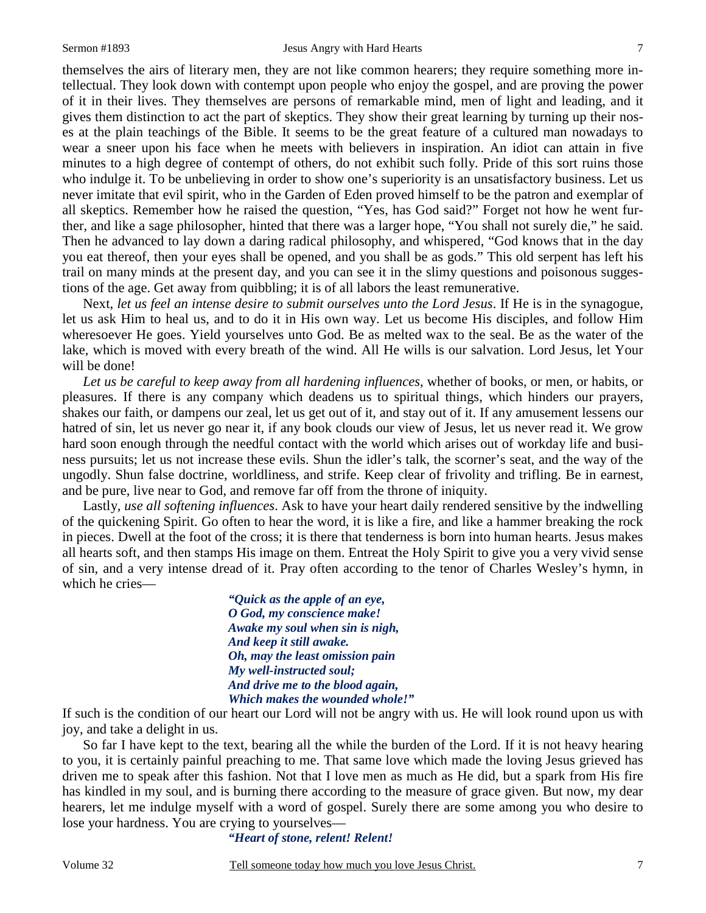themselves the airs of literary men, they are not like common hearers; they require something more intellectual. They look down with contempt upon people who enjoy the gospel, and are proving the power of it in their lives. They themselves are persons of remarkable mind, men of light and leading, and it gives them distinction to act the part of skeptics. They show their great learning by turning up their noses at the plain teachings of the Bible. It seems to be the great feature of a cultured man nowadays to wear a sneer upon his face when he meets with believers in inspiration. An idiot can attain in five minutes to a high degree of contempt of others, do not exhibit such folly. Pride of this sort ruins those who indulge it. To be unbelieving in order to show one's superiority is an unsatisfactory business. Let us never imitate that evil spirit, who in the Garden of Eden proved himself to be the patron and exemplar of all skeptics. Remember how he raised the question, "Yes, has God said?" Forget not how he went further, and like a sage philosopher, hinted that there was a larger hope, "You shall not surely die," he said. Then he advanced to lay down a daring radical philosophy, and whispered, "God knows that in the day you eat thereof, then your eyes shall be opened, and you shall be as gods." This old serpent has left his trail on many minds at the present day, and you can see it in the slimy questions and poisonous suggestions of the age. Get away from quibbling; it is of all labors the least remunerative.

 Next, *let us feel an intense desire to submit ourselves unto the Lord Jesus*. If He is in the synagogue, let us ask Him to heal us, and to do it in His own way. Let us become His disciples, and follow Him wheresoever He goes. Yield yourselves unto God. Be as melted wax to the seal. Be as the water of the lake, which is moved with every breath of the wind. All He wills is our salvation. Lord Jesus, let Your will be done!

*Let us be careful to keep away from all hardening influences*, whether of books, or men, or habits, or pleasures. If there is any company which deadens us to spiritual things, which hinders our prayers, shakes our faith, or dampens our zeal, let us get out of it, and stay out of it. If any amusement lessens our hatred of sin, let us never go near it, if any book clouds our view of Jesus, let us never read it. We grow hard soon enough through the needful contact with the world which arises out of workday life and business pursuits; let us not increase these evils. Shun the idler's talk, the scorner's seat, and the way of the ungodly. Shun false doctrine, worldliness, and strife. Keep clear of frivolity and trifling. Be in earnest, and be pure, live near to God, and remove far off from the throne of iniquity.

 Lastly, *use all softening influences*. Ask to have your heart daily rendered sensitive by the indwelling of the quickening Spirit. Go often to hear the word, it is like a fire, and like a hammer breaking the rock in pieces. Dwell at the foot of the cross; it is there that tenderness is born into human hearts. Jesus makes all hearts soft, and then stamps His image on them. Entreat the Holy Spirit to give you a very vivid sense of sin, and a very intense dread of it. Pray often according to the tenor of Charles Wesley's hymn, in which he cries—

> *"Quick as the apple of an eye, O God, my conscience make! Awake my soul when sin is nigh, And keep it still awake. Oh, may the least omission pain My well-instructed soul; And drive me to the blood again, Which makes the wounded whole!"*

If such is the condition of our heart our Lord will not be angry with us. He will look round upon us with joy, and take a delight in us.

 So far I have kept to the text, bearing all the while the burden of the Lord. If it is not heavy hearing to you, it is certainly painful preaching to me. That same love which made the loving Jesus grieved has driven me to speak after this fashion. Not that I love men as much as He did, but a spark from His fire has kindled in my soul, and is burning there according to the measure of grace given. But now, my dear hearers, let me indulge myself with a word of gospel. Surely there are some among you who desire to lose your hardness. You are crying to yourselves—

*"Heart of stone, relent! Relent!*